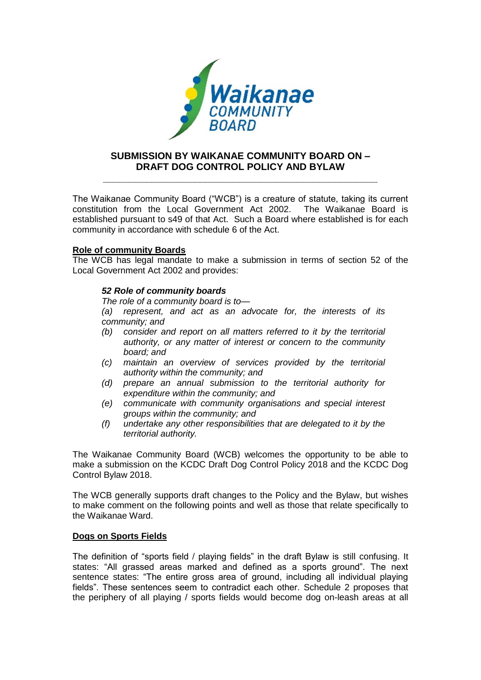

# **SUBMISSION BY WAIKANAE COMMUNITY BOARD ON – DRAFT DOG CONTROL POLICY AND BYLAW**

**\_\_\_\_\_\_\_\_\_\_\_\_\_\_\_\_\_\_\_\_\_\_\_\_\_\_\_\_\_\_\_\_\_\_\_\_\_\_\_\_\_\_\_\_\_\_\_\_\_\_\_**

The Waikanae Community Board ("WCB") is a creature of statute, taking its current constitution from the Local Government Act 2002. The Waikanae Board is established pursuant to s49 of that Act. Such a Board where established is for each community in accordance with schedule 6 of the Act.

# **Role of community Boards**

The WCB has legal mandate to make a submission in terms of section 52 of the Local Government Act 2002 and provides:

## *52 Role of community boards*

*The role of a community board is to—*

*(a) represent, and act as an advocate for, the interests of its community; and*

- *(b) consider and report on all matters referred to it by the territorial authority, or any matter of interest or concern to the community board; and*
- *(c) maintain an overview of services provided by the territorial authority within the community; and*
- *(d) prepare an annual submission to the territorial authority for expenditure within the community; and*
- *(e) communicate with community organisations and special interest groups within the community; and*
- *(f) undertake any other responsibilities that are delegated to it by the territorial authority.*

The Waikanae Community Board (WCB) welcomes the opportunity to be able to make a submission on the KCDC Draft Dog Control Policy 2018 and the KCDC Dog Control Bylaw 2018.

The WCB generally supports draft changes to the Policy and the Bylaw, but wishes to make comment on the following points and well as those that relate specifically to the Waikanae Ward.

# **Dogs on Sports Fields**

The definition of "sports field / playing fields" in the draft Bylaw is still confusing. It states: "All grassed areas marked and defined as a sports ground". The next sentence states: "The entire gross area of ground, including all individual playing fields". These sentences seem to contradict each other. Schedule 2 proposes that the periphery of all playing / sports fields would become dog on-leash areas at all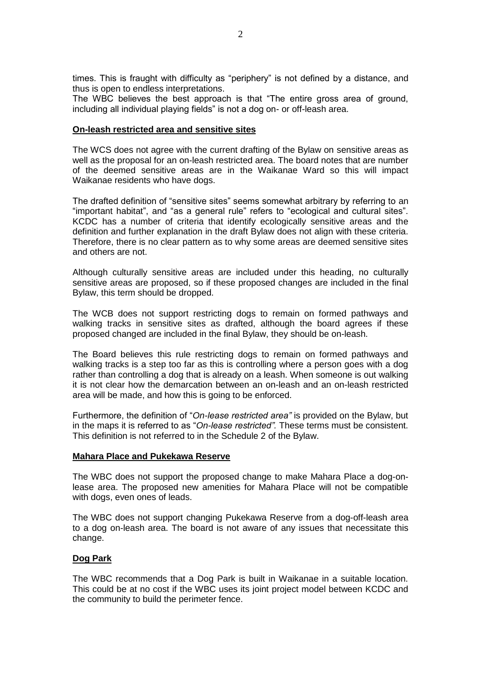times. This is fraught with difficulty as "periphery" is not defined by a distance, and thus is open to endless interpretations.

The WBC believes the best approach is that "The entire gross area of ground, including all individual playing fields" is not a dog on- or off-leash area.

#### **On-leash restricted area and sensitive sites**

The WCS does not agree with the current drafting of the Bylaw on sensitive areas as well as the proposal for an on-leash restricted area. The board notes that are number of the deemed sensitive areas are in the Waikanae Ward so this will impact Waikanae residents who have dogs.

The drafted definition of "sensitive sites" seems somewhat arbitrary by referring to an "important habitat", and "as a general rule" refers to "ecological and cultural sites". KCDC has a number of criteria that identify ecologically sensitive areas and the definition and further explanation in the draft Bylaw does not align with these criteria. Therefore, there is no clear pattern as to why some areas are deemed sensitive sites and others are not.

Although culturally sensitive areas are included under this heading, no culturally sensitive areas are proposed, so if these proposed changes are included in the final Bylaw, this term should be dropped.

The WCB does not support restricting dogs to remain on formed pathways and walking tracks in sensitive sites as drafted, although the board agrees if these proposed changed are included in the final Bylaw, they should be on-leash.

The Board believes this rule restricting dogs to remain on formed pathways and walking tracks is a step too far as this is controlling where a person goes with a dog rather than controlling a dog that is already on a leash. When someone is out walking it is not clear how the demarcation between an on-leash and an on-leash restricted area will be made, and how this is going to be enforced.

Furthermore, the definition of "*On-lease restricted area"* is provided on the Bylaw, but in the maps it is referred to as "*On-lease restricted".* These terms must be consistent. This definition is not referred to in the Schedule 2 of the Bylaw.

#### **Mahara Place and Pukekawa Reserve**

The WBC does not support the proposed change to make Mahara Place a dog-onlease area. The proposed new amenities for Mahara Place will not be compatible with dogs, even ones of leads.

The WBC does not support changing Pukekawa Reserve from a dog-off-leash area to a dog on-leash area. The board is not aware of any issues that necessitate this change.

#### **Dog Park**

The WBC recommends that a Dog Park is built in Waikanae in a suitable location. This could be at no cost if the WBC uses its joint project model between KCDC and the community to build the perimeter fence.